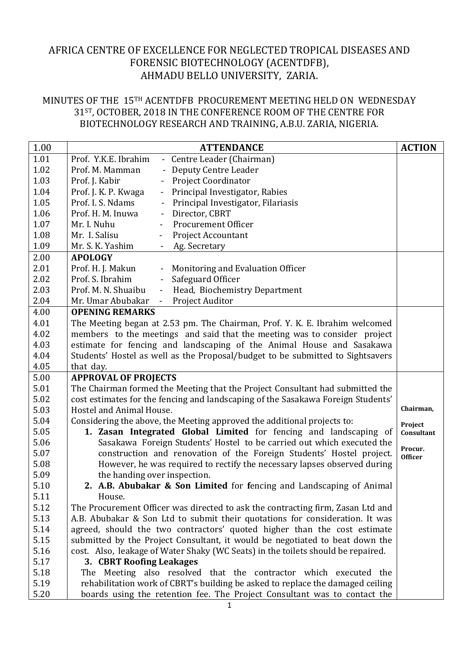## AFRICA CENTRE OF EXCELLENCE FOR NEGLECTED TROPICAL DISEASES AND FORENSIC BIOTECHNOLOGY (ACENTDFB), AHMADU BELLO UNIVERSITY, ZARIA.

## MINUTES OF THE 15TH ACENTDFB PROCUREMENT MEETING HELD ON WEDNESDAY 31ST, OCTOBER, 2018 IN THE CONFERENCE ROOM OF THE CENTRE FOR BIOTECHNOLOGY RESEARCH AND TRAINING, A.B.U. ZARIA, NIGERIA.

| 1.00 | <b>ATTENDANCE</b>                                                                | <b>ACTION</b>  |
|------|----------------------------------------------------------------------------------|----------------|
| 1.01 | Prof. Y.K.E. Ibrahim<br>- Centre Leader (Chairman)                               |                |
| 1.02 | Prof. M. Mamman<br>Deputy Centre Leader                                          |                |
| 1.03 | Project Coordinator<br>Prof. J. Kabir                                            |                |
| 1.04 | Principal Investigator, Rabies<br>Prof. J. K. P. Kwaga<br>$\blacksquare$         |                |
| 1.05 | Prof. I. S. Ndams<br>Principal Investigator, Filariasis                          |                |
| 1.06 | Director, CBRT<br>Prof. H. M. Inuwa<br>$\blacksquare$                            |                |
| 1.07 | Procurement Officer<br>Mr. I. Nuhu                                               |                |
| 1.08 | Mr. I. Salisu<br><b>Project Accountant</b>                                       |                |
| 1.09 | Mr. S. K. Yashim<br>Ag. Secretary<br>$\blacksquare$                              |                |
| 2.00 | <b>APOLOGY</b>                                                                   |                |
| 2.01 | Prof. H. J. Makun<br>Monitoring and Evaluation Officer                           |                |
| 2.02 | Prof. S. Ibrahim<br>Safeguard Officer<br>$\overline{\phantom{a}}$                |                |
| 2.03 | Prof. M. N. Shuaibu<br>Head, Biochemistry Department                             |                |
| 2.04 | Project Auditor<br>Mr. Umar Abubakar<br>$\mathcal{L}_{\mathcal{A}}$              |                |
| 4.00 | <b>OPENING REMARKS</b>                                                           |                |
| 4.01 | The Meeting began at 2.53 pm. The Chairman, Prof. Y. K. E. Ibrahim welcomed      |                |
| 4.02 | members to the meetings and said that the meeting was to consider project        |                |
| 4.03 | estimate for fencing and landscaping of the Animal House and Sasakawa            |                |
| 4.04 | Students' Hostel as well as the Proposal/budget to be submitted to Sightsavers   |                |
| 4.05 | that day.                                                                        |                |
| 5.00 | <b>APPROVAL OF PROJECTS</b>                                                      |                |
| 5.01 | The Chairman formed the Meeting that the Project Consultant had submitted the    |                |
| 5.02 | cost estimates for the fencing and landscaping of the Sasakawa Foreign Students' |                |
| 5.03 | Hostel and Animal House.                                                         | Chairman,      |
| 5.04 | Considering the above, the Meeting approved the additional projects to:          | Project        |
| 5.05 | 1. Zasan Integrated Global Limited for fencing and landscaping of                | Consultant     |
| 5.06 | Sasakawa Foreign Students' Hostel to be carried out which executed the           | Procur.        |
| 5.07 | construction and renovation of the Foreign Students' Hostel project.             | <b>Officer</b> |
| 5.08 | However, he was required to rectify the necessary lapses observed during         |                |
| 5.09 | the handing over inspection.                                                     |                |
| 5.10 | 2. A.B. Abubakar & Son Limited for fencing and Landscaping of Animal             |                |
| 5.11 | House.                                                                           |                |
| 5.12 | The Procurement Officer was directed to ask the contracting firm, Zasan Ltd and  |                |
| 5.13 | A.B. Abubakar & Son Ltd to submit their quotations for consideration. It was     |                |
| 5.14 | agreed, should the two contractors' quoted higher than the cost estimate         |                |
| 5.15 | submitted by the Project Consultant, it would be negotiated to beat down the     |                |
| 5.16 | cost. Also, leakage of Water Shaky (WC Seats) in the toilets should be repaired. |                |
| 5.17 | 3. CBRT Roofing Leakages                                                         |                |
| 5.18 | The Meeting also resolved that the contractor which executed the                 |                |
| 5.19 | rehabilitation work of CBRT's building be asked to replace the damaged ceiling   |                |
| 5.20 | boards using the retention fee. The Project Consultant was to contact the        |                |